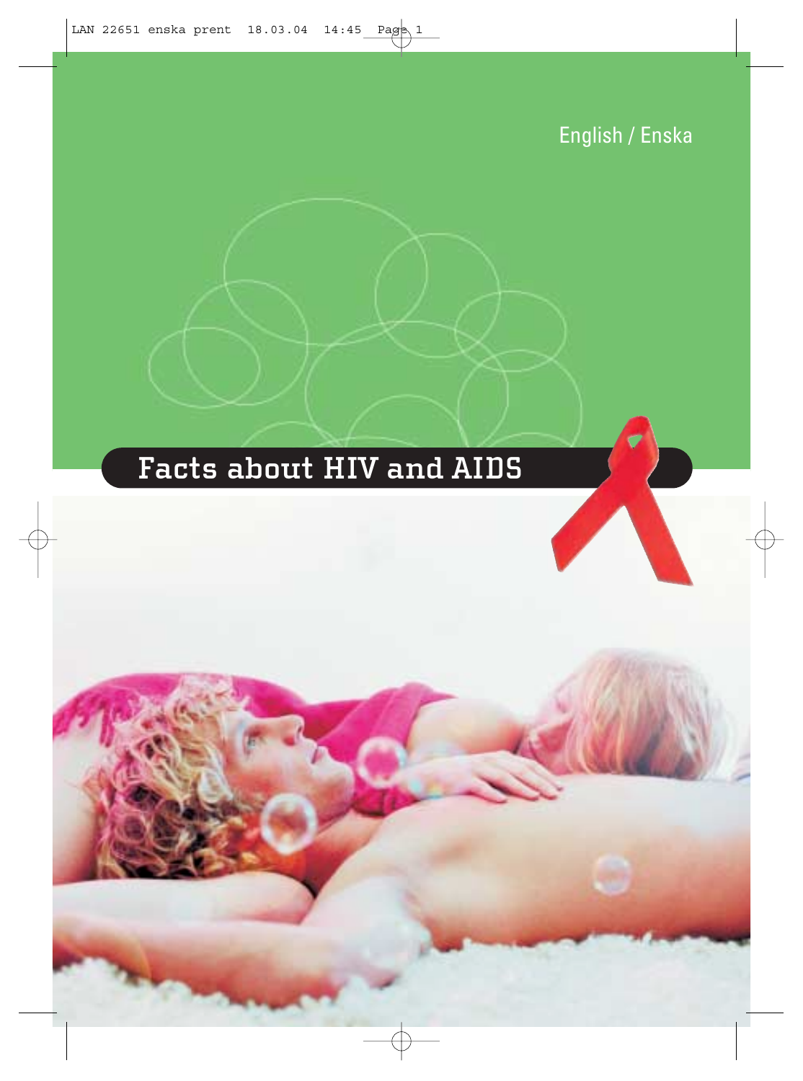

# **Facts about HIV and AIDS**

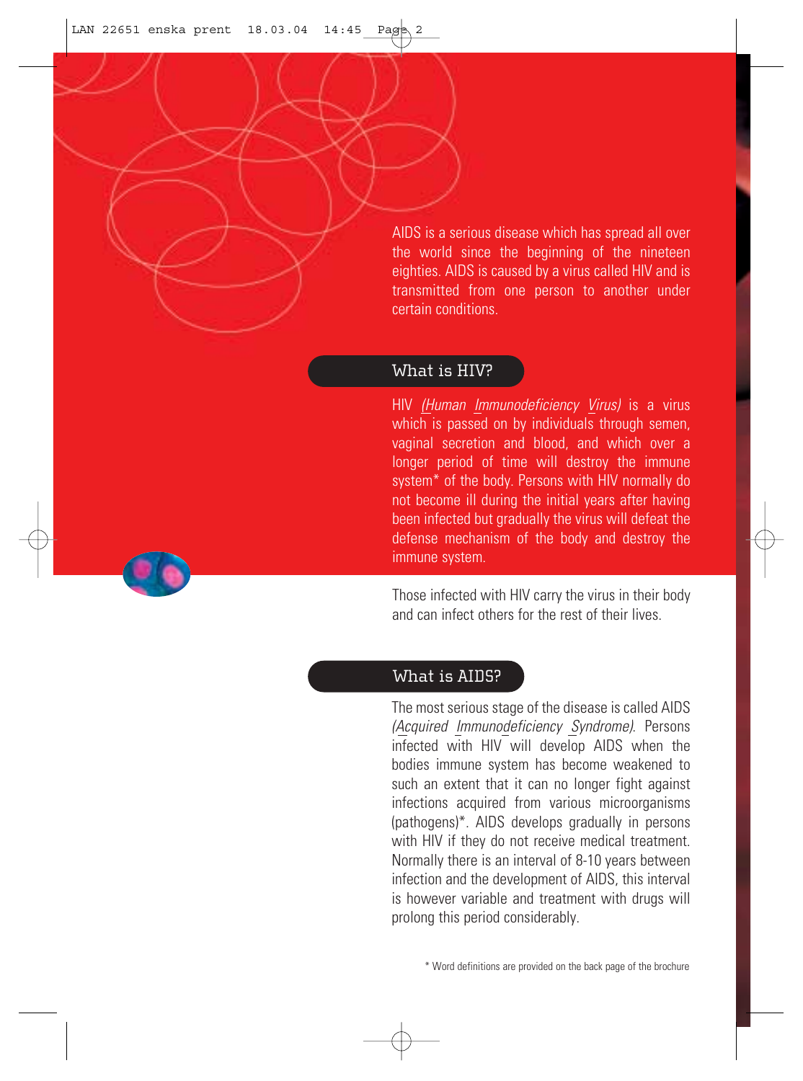AIDS is a serious disease which has spread all over the world since the beginning of the nineteen eighties. AIDS is caused by a virus called HIV and is transmitted from one person to another under certain conditions.

#### What is HIV?

HIV *(Human Immunodeficiency Virus)* is a virus which is passed on by individuals through semen, vaginal secretion and blood, and which over a longer period of time will destroy the immune system\* of the body. Persons with HIV normally do not become ill during the initial years after having been infected but gradually the virus will defeat the defense mechanism of the body and destroy the immune system.

Those infected with HIV carry the virus in their body and can infect others for the rest of their lives.

# What is AIDS?

The most serious stage of the disease is called AIDS *(Acquired Immunodeficiency Syndrome)*. Persons infected with HIV will develop AIDS when the bodies immune system has become weakened to such an extent that it can no longer fight against infections acquired from various microorganisms (pathogens)\*. AIDS develops gradually in persons with HIV if they do not receive medical treatment. Normally there is an interval of 8-10 years between infection and the development of AIDS, this interval is however variable and treatment with drugs will prolong this period considerably.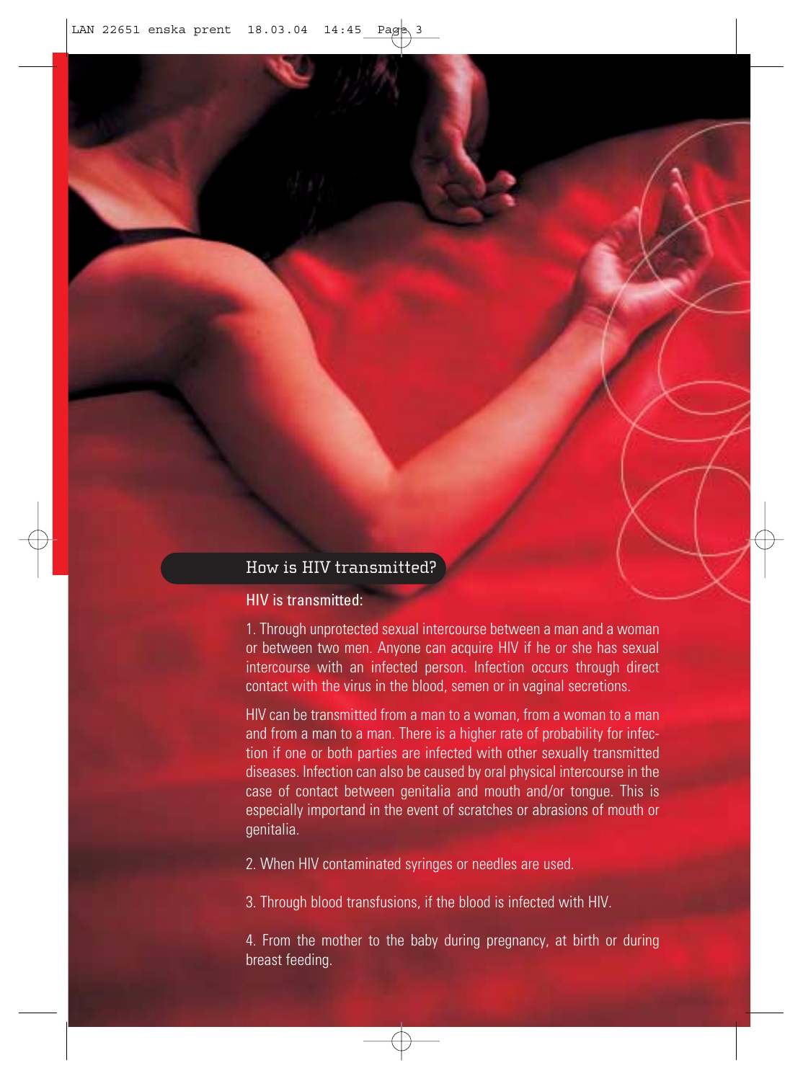# How is HIV transmitted?

### HIV is transmitted:

1. Through unprotected sexual intercourse between a man and a woman or between two men. Anyone can acquire HIV if he or she has sexual intercourse with an infected person. Infection occurs through direct contact with the virus in the blood, semen or in vaginal secretions.

HIV can be transmitted from a man to a woman, from a woman to a man and from a man to a man. There is a higher rate of probability for infection if one or both parties are infected with other sexually transmitted diseases. Infection can also be caused by oral physical intercourse in the case of contact between genitalia and mouth and/or tongue. This is especially importand in the event of scratches or abrasions of mouth or genitalia.

2. When HIV contaminated syringes or needles are used.

3. Through blood transfusions, if the blood is infected with HIV.

4. From the mother to the baby during pregnancy, at birth or during breast feeding.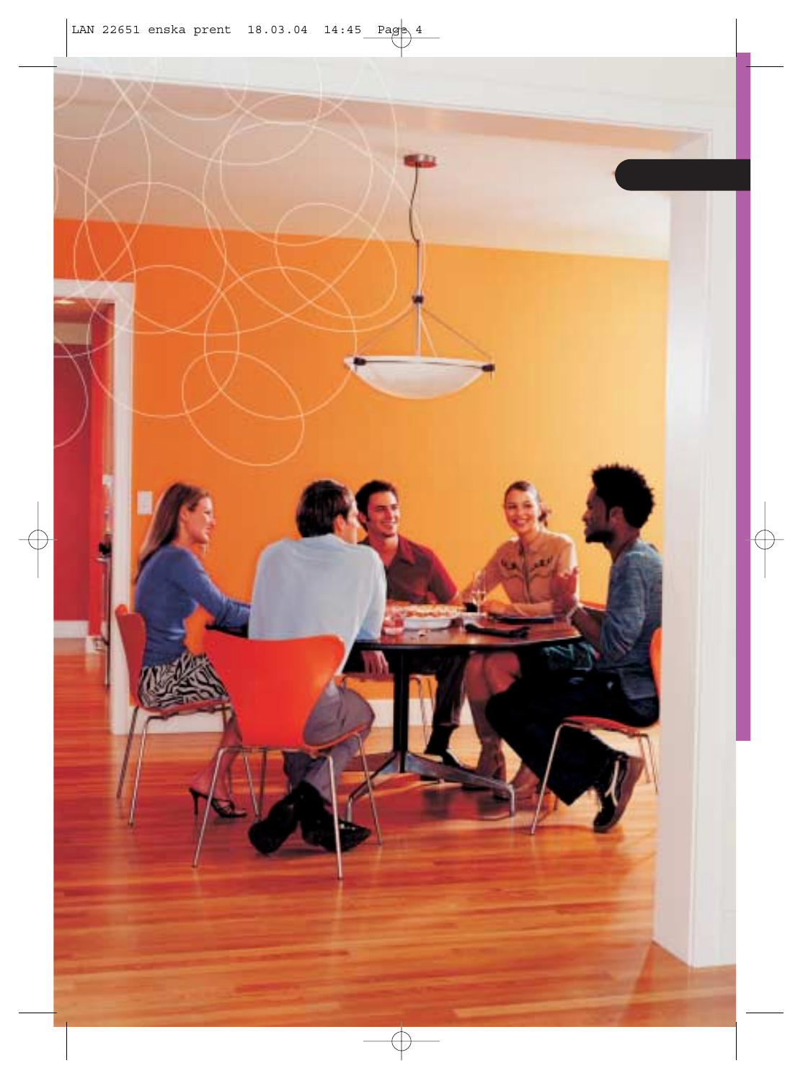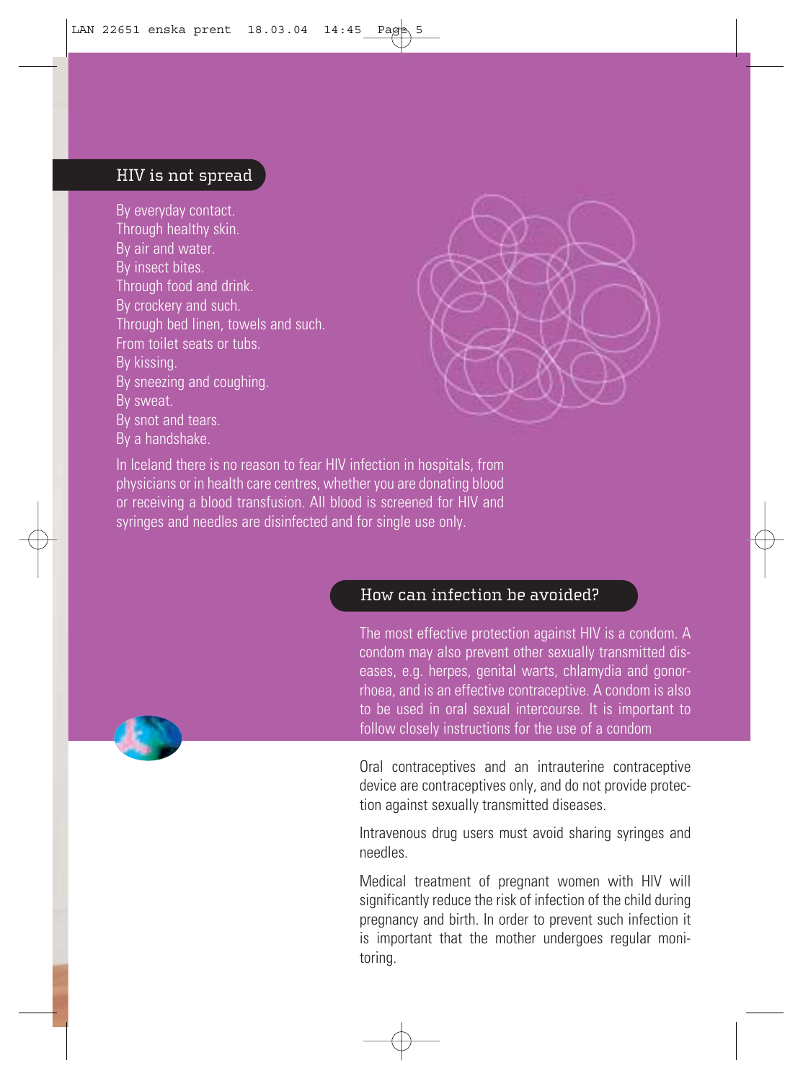#### HIV is not spread

By everyday contact. Through healthy skin. By air and water. By insect bites. Through food and drink. By crockery and such. Through bed linen, towels and such. From toilet seats or tubs. By kissing. By sneezing and coughing. By sweat. By snot and tears. By a handshake.



In Iceland there is no reason to fear HIV infection in hospitals, from physicians or in health care centres, whether you are donating blood or receiving a blood transfusion. All blood is screened for HIV and syringes and needles are disinfected and for single use only.

# How can infection be avoided?

The most effective protection against HIV is a condom. A condom may also prevent other sexually transmitted diseases, e.g. herpes, genital warts, chlamydia and gonorrhoea, and is an effective contraceptive. A condom is also to be used in oral sexual intercourse. It is important to follow closely instructions for the use of a condom

Oral contraceptives and an intrauterine contraceptive device are contraceptives only, and do not provide protection against sexually transmitted diseases.

Intravenous drug users must avoid sharing syringes and needles.

Medical treatment of pregnant women with HIV will significantly reduce the risk of infection of the child during pregnancy and birth. In order to prevent such infection it is important that the mother undergoes regular monitoring.

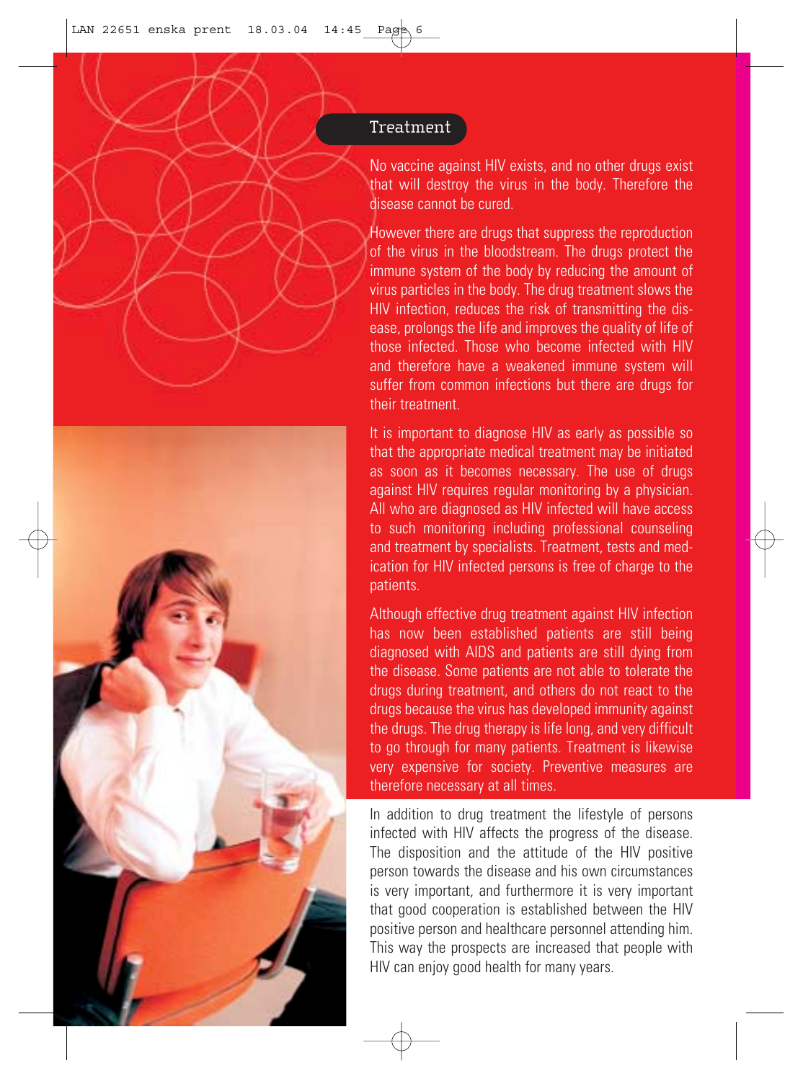## Treatment

No vaccine against HIV exists, and no other drugs exist that will destroy the virus in the body. Therefore the disease cannot be cured.

However there are drugs that suppress the reproduction of the virus in the bloodstream. The drugs protect the immune system of the body by reducing the amount of virus particles in the body. The drug treatment slows the HIV infection, reduces the risk of transmitting the disease, prolongs the life and improves the quality of life of those infected. Those who become infected with HIV and therefore have a weakened immune system will suffer from common infections but there are drugs for their treatment.

It is important to diagnose HIV as early as possible so that the appropriate medical treatment may be initiated as soon as it becomes necessary. The use of drugs against HIV requires regular monitoring by a physician. All who are diagnosed as HIV infected will have access to such monitoring including professional counseling and treatment by specialists. Treatment, tests and medication for HIV infected persons is free of charge to the patients.

Although effective drug treatment against HIV infection has now been established patients are still being diagnosed with AIDS and patients are still dying from the disease. Some patients are not able to tolerate the drugs during treatment, and others do not react to the drugs because the virus has developed immunity against the drugs. The drug therapy is life long, and very difficult to go through for many patients. Treatment is likewise very expensive for society. Preventive measures are therefore necessary at all times.

In addition to drug treatment the lifestyle of persons infected with HIV affects the progress of the disease. The disposition and the attitude of the HIV positive person towards the disease and his own circumstances is very important, and furthermore it is very important that good cooperation is established between the HIV positive person and healthcare personnel attending him. This way the prospects are increased that people with HIV can enjoy good health for many years.

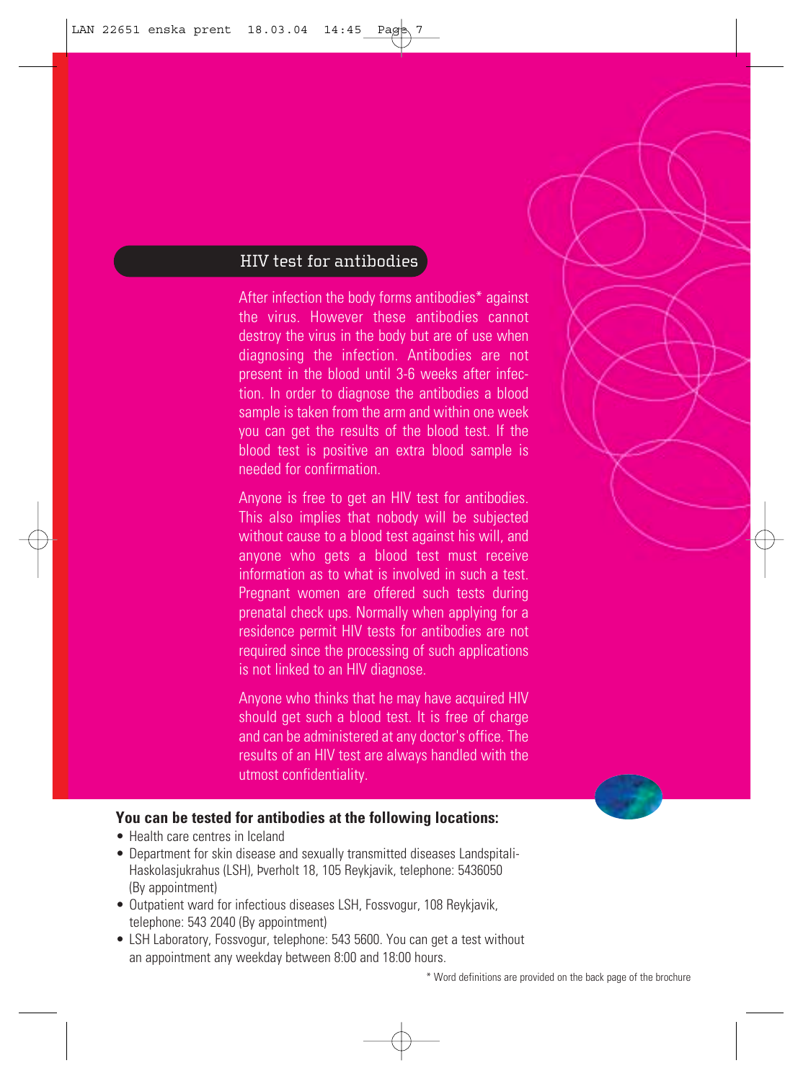# HIV test for antibodies

After infection the body forms antibodies\* against the virus. However these antibodies cannot destroy the virus in the body but are of use when diagnosing the infection. Antibodies are not present in the blood until 3-6 weeks after infection. In order to diagnose the antibodies a blood sample is taken from the arm and within one week you can get the results of the blood test. If the blood test is positive an extra blood sample is needed for confirmation.

Anyone is free to get an HIV test for antibodies. This also implies that nobody will be subjected without cause to a blood test against his will, and anyone who gets a blood test must receive information as to what is involved in such a test. Pregnant women are offered such tests during prenatal check ups. Normally when applying for a residence permit HIV tests for antibodies are not required since the processing of such applications is not linked to an HIV diagnose.

Anyone who thinks that he may have acquired HIV should get such a blood test. It is free of charge and can be administered at any doctor's office. The results of an HIV test are always handled with the utmost confidentiality.



#### **You can be tested for antibodies at the following locations:**

- Health care centres in Iceland
- Department for skin disease and sexually transmitted diseases Landspitali-Haskolasjukrahus (LSH), Þverholt 18, 105 Reykjavik, telephone: 5436050 (By appointment)
- Outpatient ward for infectious diseases LSH, Fossvogur, 108 Reykiavik, telephone: 543 2040 (By appointment)
- LSH Laboratory, Fossvogur, telephone: 543 5600. You can get a test without an appointment any weekday between 8:00 and 18:00 hours.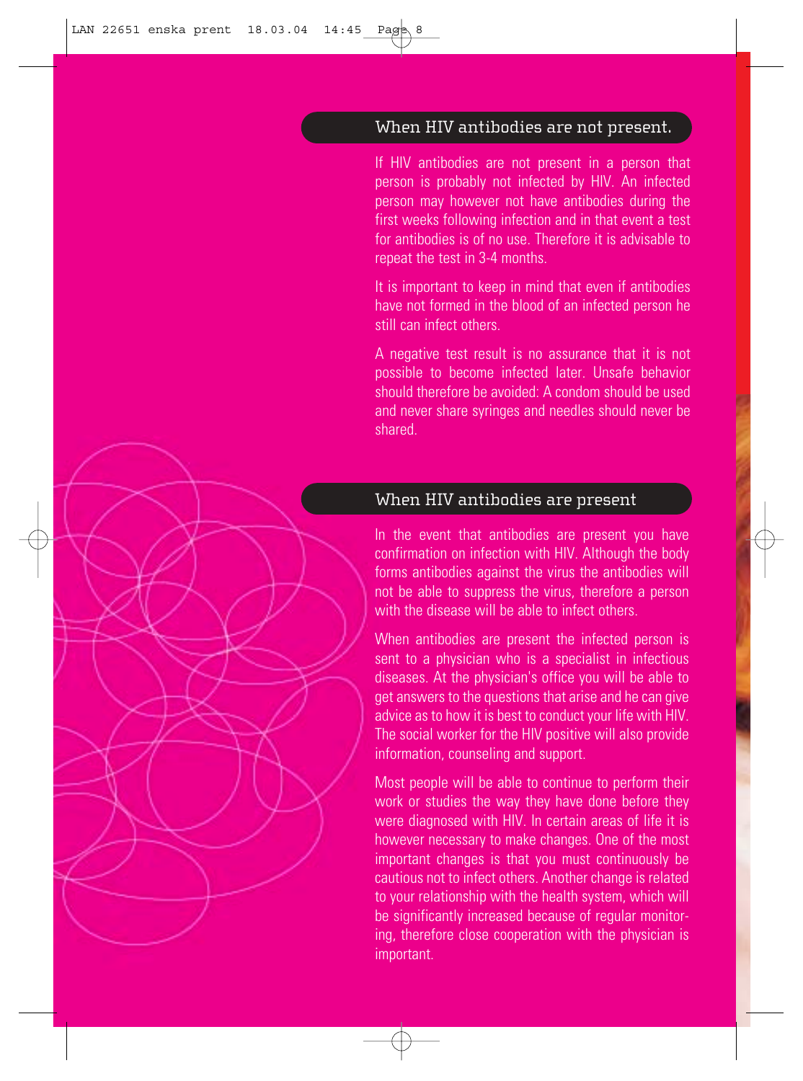### When HIV antibodies are not present.

If HIV antibodies are not present in a person that person is probably not infected by HIV. An infected person may however not have antibodies during the first weeks following infection and in that event a test for antibodies is of no use. Therefore it is advisable to repeat the test in 3-4 months.

It is important to keep in mind that even if antibodies have not formed in the blood of an infected person he still can infect others.

A negative test result is no assurance that it is not possible to become infected later. Unsafe behavior should therefore be avoided: A condom should be used and never share syringes and needles should never be shared.

# When HIV antibodies are present

In the event that antibodies are present you have confirmation on infection with HIV. Although the body forms antibodies against the virus the antibodies will not be able to suppress the virus, therefore a person with the disease will be able to infect others.

When antibodies are present the infected person is sent to a physician who is a specialist in infectious diseases. At the physician's office you will be able to get answers to the questions that arise and he can give advice as to how it is best to conduct your life with HIV. The social worker for the HIV positive will also provide information, counseling and support.

Most people will be able to continue to perform their work or studies the way they have done before they were diagnosed with HIV. In certain areas of life it is however necessary to make changes. One of the most important changes is that you must continuously be cautious not to infect others. Another change is related to your relationship with the health system, which will be significantly increased because of regular monitoring, therefore close cooperation with the physician is important.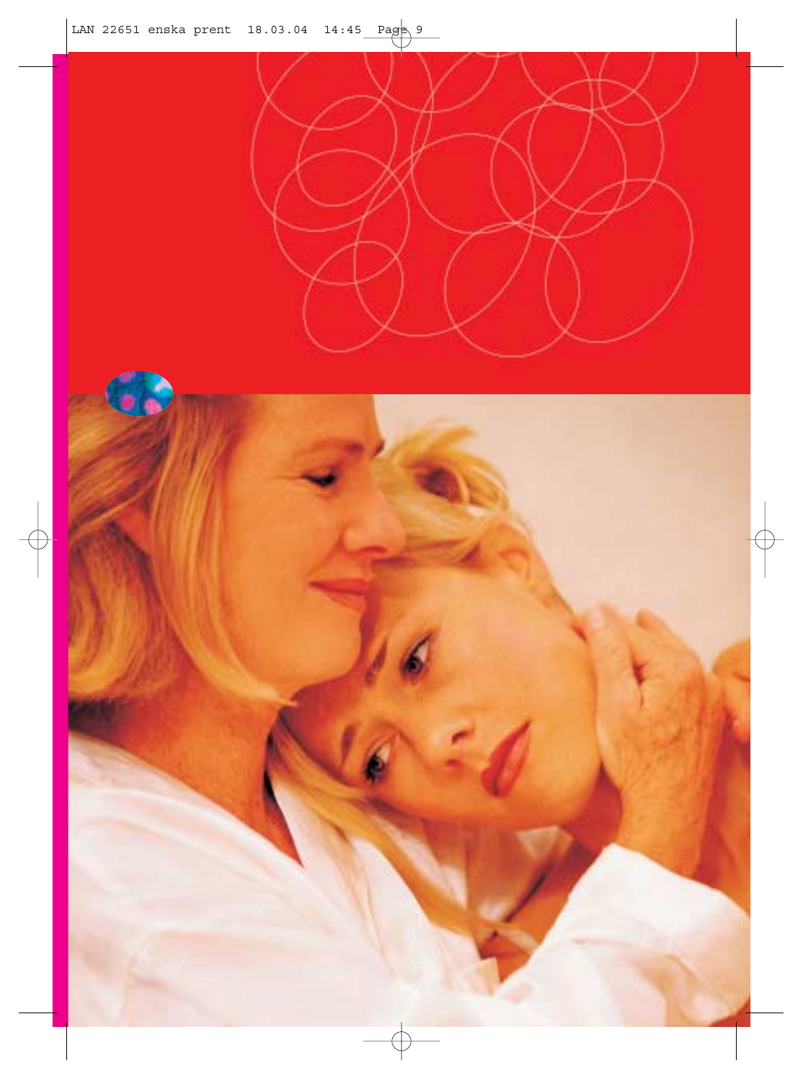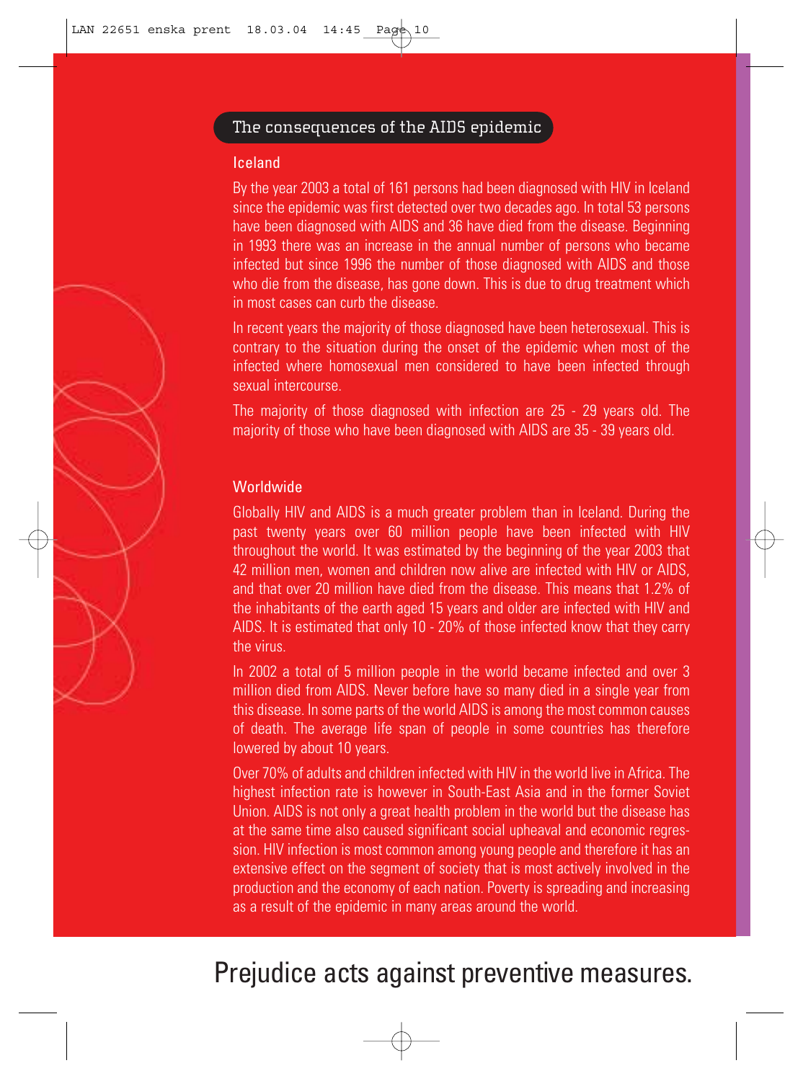# The consequences of the AIDS epidemic

#### Iceland

By the year 2003 a total of 161 persons had been diagnosed with HIV in Iceland since the epidemic was first detected over two decades ago. In total 53 persons have been diagnosed with AIDS and 36 have died from the disease. Beginning in 1993 there was an increase in the annual number of persons who became infected but since 1996 the number of those diagnosed with AIDS and those who die from the disease, has gone down. This is due to drug treatment which in most cases can curb the disease.

In recent years the majority of those diagnosed have been heterosexual. This is contrary to the situation during the onset of the epidemic when most of the infected where homosexual men considered to have been infected through sexual intercourse.

The majority of those diagnosed with infection are 25 - 29 years old. The majority of those who have been diagnosed with AIDS are 35 - 39 years old.

#### **Worldwide**

Globally HIV and AIDS is a much greater problem than in Iceland. During the past twenty years over 60 million people have been infected with HIV throughout the world. It was estimated by the beginning of the year 2003 that 42 million men, women and children now alive are infected with HIV or AIDS, and that over 20 million have died from the disease. This means that 1.2% of the inhabitants of the earth aged 15 years and older are infected with HIV and AIDS. It is estimated that only 10 - 20% of those infected know that they carry the virus.

In 2002 a total of 5 million people in the world became infected and over 3 million died from AIDS. Never before have so many died in a single year from this disease. In some parts of the world AIDS is among the most common causes of death. The average life span of people in some countries has therefore lowered by about 10 years.

Over 70% of adults and children infected with HIV in the world live in Africa. The highest infection rate is however in South-East Asia and in the former Soviet Union. AIDS is not only a great health problem in the world but the disease has at the same time also caused significant social upheaval and economic regression. HIV infection is most common among young people and therefore it has an extensive effect on the segment of society that is most actively involved in the production and the economy of each nation. Poverty is spreading and increasing as a result of the epidemic in many areas around the world.

# Prejudice acts against preventive measures.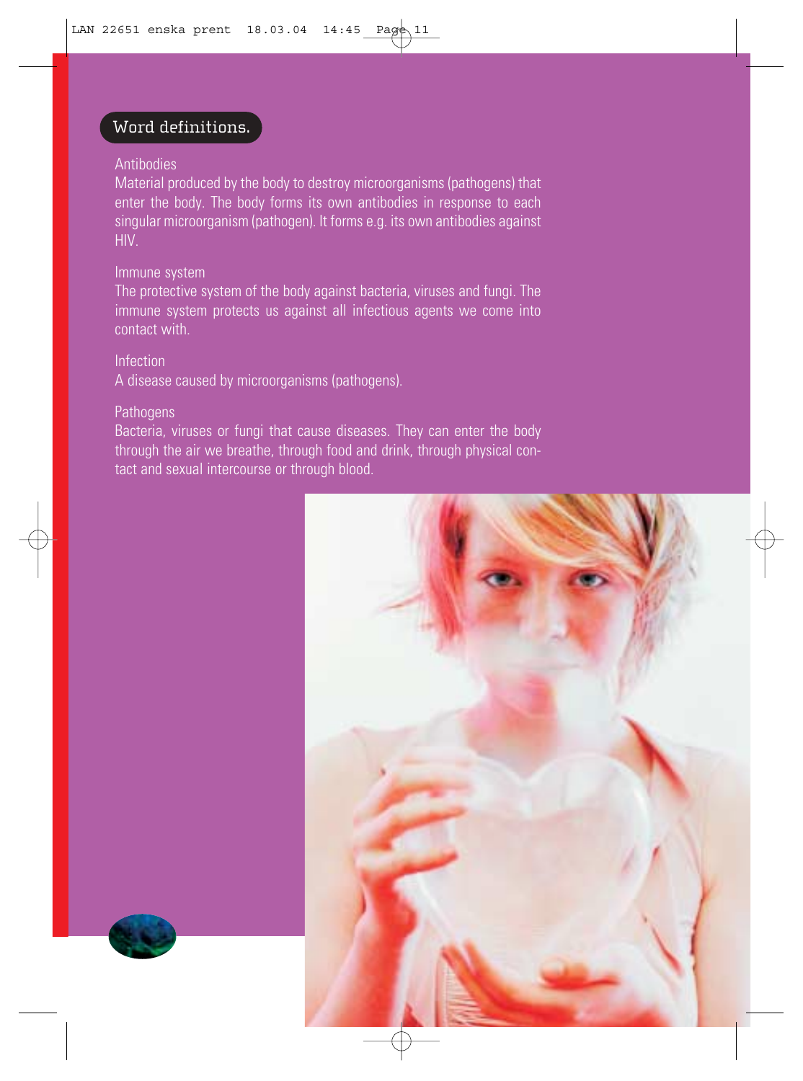# Word definitions.

#### **Antibodies**

Material produced by the body to destroy microorganisms (pathogens) that enter the body. The body forms its own antibodies in response to each singular microorganism (pathogen). It forms e.g. its own antibodies against HIV.

#### Immune system

The protective system of the body against bacteria, viruses and fungi. The immune system protects us against all infectious agents we come into contact with.

#### Infection

A disease caused by microorganisms (pathogens).

#### **Pathogens**

Bacteria, viruses or fungi that cause diseases. They can enter the body through the air we breathe, through food and drink, through physical contact and sexual intercourse or through blood.